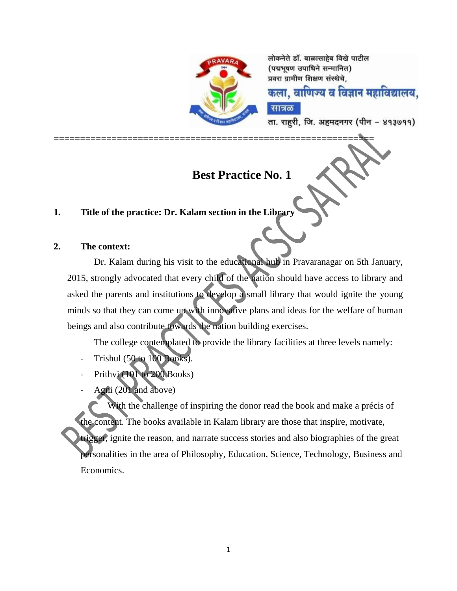

=============================================================

लोकनेते डॉ. बाळासाहेब विखे पाटील (पद्मभूषण उपाधिने सन्मानित) प्रवरा ग्रामीण शिक्षण संस्थेचे.

कला. वाणिज्य व विज्ञान महाविद्यालय.

ता. राहरी, जि. अहमदनगर (पीन – ४१३७११)

# **Best Practice No. 1**

सात्रळ

# **1. Title of the practice: Dr. Kalam section in the Library**

### **2. The context:**

Dr. Kalam during his visit to the educational hub in Pravaranagar on 5th January, 2015, strongly advocated that every child of the nation should have access to library and asked the parents and institutions to develop a small library that would ignite the young minds so that they can come up with innovative plans and ideas for the welfare of human beings and also contribute towards the nation building exercises.

The college contemplated to provide the library facilities at three levels namely: –

- Trishul (50 to 100 Books).
- Prithvi (101 to 200 Books)
- Agni (201 and above)

With the challenge of inspiring the donor read the book and make a précis of the content. The books available in Kalam library are those that inspire, motivate, trigger, ignite the reason, and narrate success stories and also biographies of the great personalities in the area of Philosophy, Education, Science, Technology, Business and Economics.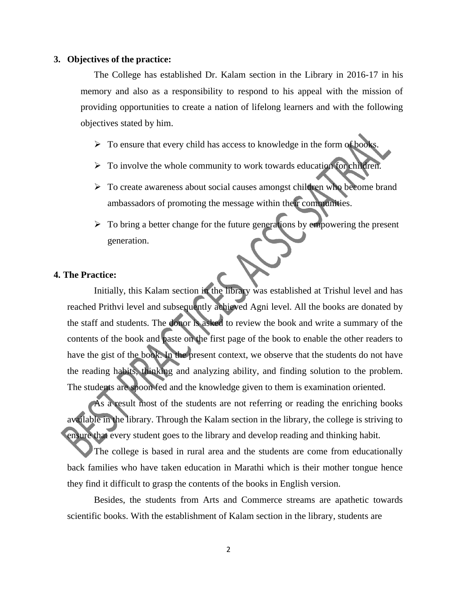#### **3. Objectives of the practice:**

The College has established Dr. Kalam section in the Library in 2016-17 in his memory and also as a responsibility to respond to his appeal with the mission of providing opportunities to create a nation of lifelong learners and with the following objectives stated by him.

- $\triangleright$  To ensure that every child has access to knowledge in the form of books.
- $\triangleright$  To involve the whole community to work towards education for children.
- > To create awareness about social causes amongst children who become brand ambassadors of promoting the message within their communities.
- $\triangleright$  To bring a better change for the future generations by empowering the present generation.

#### **4. The Practice:**

Initially, this Kalam section in the library was established at Trishul level and has reached Prithvi level and subsequently achieved Agni level. All the books are donated by the staff and students. The donor is asked to review the book and write a summary of the contents of the book and paste on the first page of the book to enable the other readers to have the gist of the book. In the present context, we observe that the students do not have the reading habits, thinking and analyzing ability, and finding solution to the problem. The students are spoon fed and the knowledge given to them is examination oriented.

As a result most of the students are not referring or reading the enriching books available in the library. Through the Kalam section in the library, the college is striving to ensure that every student goes to the library and develop reading and thinking habit.

The college is based in rural area and the students are come from educationally back families who have taken education in Marathi which is their mother tongue hence they find it difficult to grasp the contents of the books in English version.

Besides, the students from Arts and Commerce streams are apathetic towards scientific books. With the establishment of Kalam section in the library, students are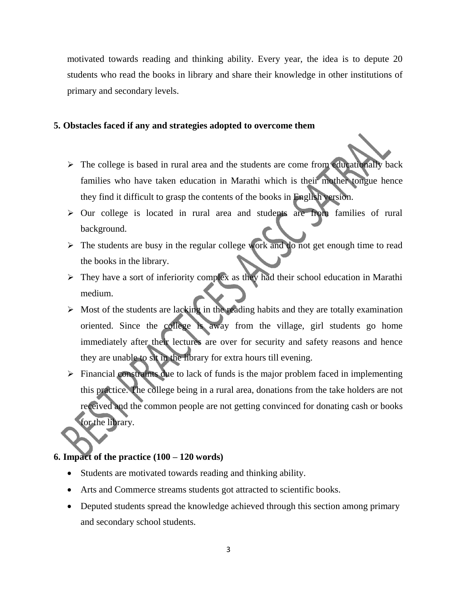motivated towards reading and thinking ability. Every year, the idea is to depute 20 students who read the books in library and share their knowledge in other institutions of primary and secondary levels.

### **5. Obstacles faced if any and strategies adopted to overcome them**

- $\triangleright$  The college is based in rural area and the students are come from educationally back families who have taken education in Marathi which is their mother tongue hence they find it difficult to grasp the contents of the books in English version.
- $\triangleright$  Our college is located in rural area and students are from families of rural background.
- $\triangleright$  The students are busy in the regular college work and do not get enough time to read the books in the library.
- $\triangleright$  They have a sort of inferiority complex as they had their school education in Marathi medium.
- $\triangleright$  Most of the students are lacking in the reading habits and they are totally examination oriented. Since the college is away from the village, girl students go home immediately after their lectures are over for security and safety reasons and hence they are unable to sit in the library for extra hours till evening.
- $\triangleright$  Financial constraints due to lack of funds is the major problem faced in implementing this practice. The college being in a rural area, donations from the take holders are not received and the common people are not getting convinced for donating cash or books for the library.

# **6. Impact of the practice (100 – 120 words)**

- Students are motivated towards reading and thinking ability.
- Arts and Commerce streams students got attracted to scientific books.
- Deputed students spread the knowledge achieved through this section among primary and secondary school students.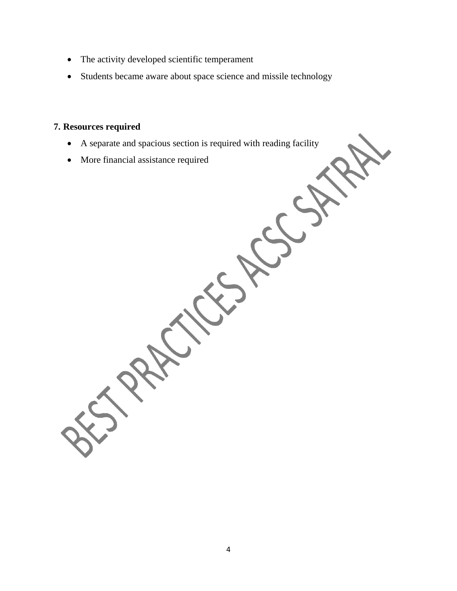- The activity developed scientific temperament
- Students became aware about space science and missile technology

## **7. Resources required**

- A separate and spacious section is required with reading facility
- More financial assistance required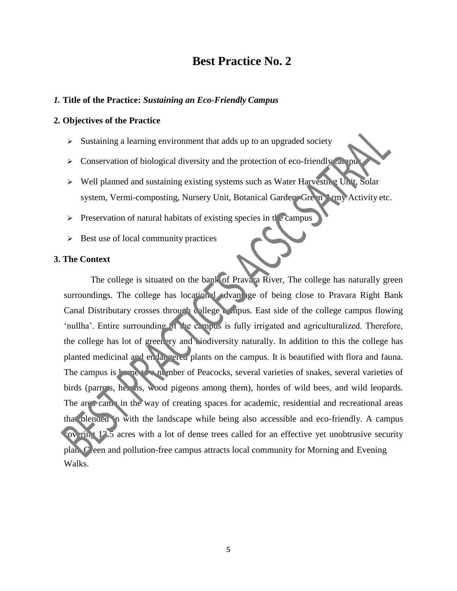# **Best Practice No. 2**

#### *1.* **Title of the Practice:** *Sustaining an Eco-Friendly Campus*

#### **2. Objectives of the Practice**

- $\triangleright$  Sustaining a learning environment that adds up to an upgraded society
- $\triangleright$  Conservation of biological diversity and the protection of eco-friendly campus
- $\triangleright$  Well planned and sustaining existing systems such as Water Harvesting Unit, Solar system, Vermi-composting, Nursery Unit, Botanical Garden, Green Army Activity etc.
- $\triangleright$  Preservation of natural habitats of existing species in the campus
- $\triangleright$  Best use of local community practices

#### **3. The Context**

The college is situated on the bank of Pravara River, The college has naturally green surroundings. The college has locational advantage of being close to Pravara Right Bank Canal Distributary crosses through college campus. East side of the college campus flowing 'nullha'. Entire surrounding of the campus is fully irrigated and agriculturalized. Therefore, the college has lot of greenery and biodiversity naturally. In addition to this the college has planted medicinal and endangered plants on the campus. It is beautified with flora and fauna. The campus is home to a number of Peacocks, several varieties of snakes, several varieties of birds (parrots, herons, wood pigeons among them), hordes of wild bees, and wild leopards. The  $\arctan$  in the way of creating spaces for academic, residential and recreational areas that blended in with the landscape while being also accessible and eco-friendly. A campus for ring 12.5 acres with a lot of dense trees called for an effective yet unobtrusive security plan.  $C$  ceen and pollution-free campus attracts local community for Morning and Evening Walks.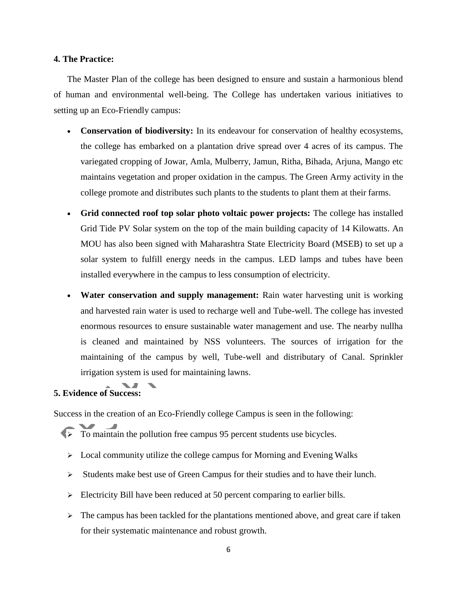#### **4. The Practice:**

The Master Plan of the college has been designed to ensure and sustain a harmonious blend of human and environmental well-being. The College has undertaken various initiatives to setting up an Eco-Friendly campus:

- **Conservation of biodiversity:** In its endeavour for conservation of healthy ecosystems, the college has embarked on a plantation drive spread over 4 acres of its campus. The variegated cropping of Jowar, Amla, Mulberry, Jamun, Ritha, Bihada, Arjuna, Mango etc maintains vegetation and proper oxidation in the campus. The Green Army activity in the college promote and distributes such plants to the students to plant them at their farms.
- **Grid connected roof top solar photo voltaic power projects:** The college has installed Grid Tide PV Solar system on the top of the main building capacity of 14 Kilowatts. An MOU has also been signed with Maharashtra State Electricity Board (MSEB) to set up a solar system to fulfill energy needs in the campus. LED lamps and tubes have been installed everywhere in the campus to less consumption of electricity.
- **Water conservation and supply management:** Rain water harvesting unit is working and harvested rain water is used to recharge well and Tube-well. The college has invested enormous resources to ensure sustainable water management and use. The nearby nullha is cleaned and maintained by NSS volunteers. The sources of irrigation for the maintaining of the campus by well, Tube-well and distributary of Canal. Sprinkler irrigation system is used for maintaining lawns.

# **5. Evidence of Success:**

Success in the creation of an Eco-Friendly college Campus is seen in the following:

- $\triangleright$  To maintain the pollution free campus 95 percent students use bicycles.
	- $\triangleright$  Local community utilize the college campus for Morning and Evening Walks
	- $\triangleright$  Students make best use of Green Campus for their studies and to have their lunch.
	- $\triangleright$  Electricity Bill have been reduced at 50 percent comparing to earlier bills.
	- $\triangleright$  The campus has been tackled for the plantations mentioned above, and great care if taken for their systematic maintenance and robust growth.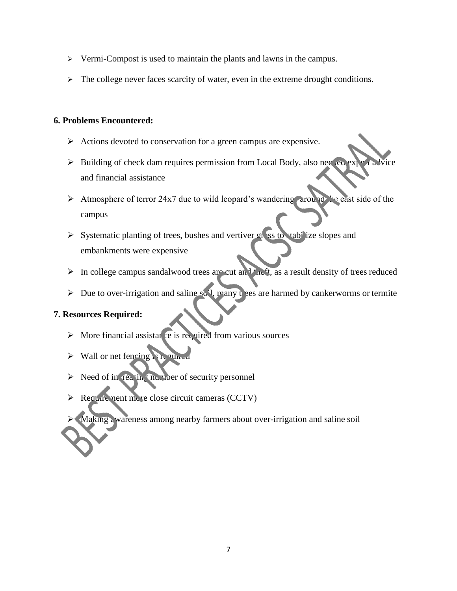- $\triangleright$  Vermi-Compost is used to maintain the plants and lawns in the campus.
- $\triangleright$  The college never faces scarcity of water, even in the extreme drought conditions.

### **6. Problems Encountered:**

- $\triangleright$  Actions devoted to conservation for a green campus are expensive.
- $\triangleright$  Building of check dam requires permission from Local Body, also needed expert advice and financial assistance
- Atmosphere of terror 24x7 due to wild leopard's wandering around the east side of the campus
- $\triangleright$  Systematic planting of trees, bushes and vertiver grass to tabilize slopes and embankments were expensive
- In college campus sandalwood trees are cut and the ft, as a result density of trees reduced
- $\triangleright$  Due to over-irrigation and saline so 1, many t ees are harmed by cankerworms or termite

### **7. Resources Required:**

- $\triangleright$  More financial assistative is required from various sources
- $\triangleright$  Wall or net fencing is required
- $\triangleright$  Need of in reasing number of security personnel
- Requirement more close circuit cameras (CCTV)

Making awareness among nearby farmers about over-irrigation and saline soil